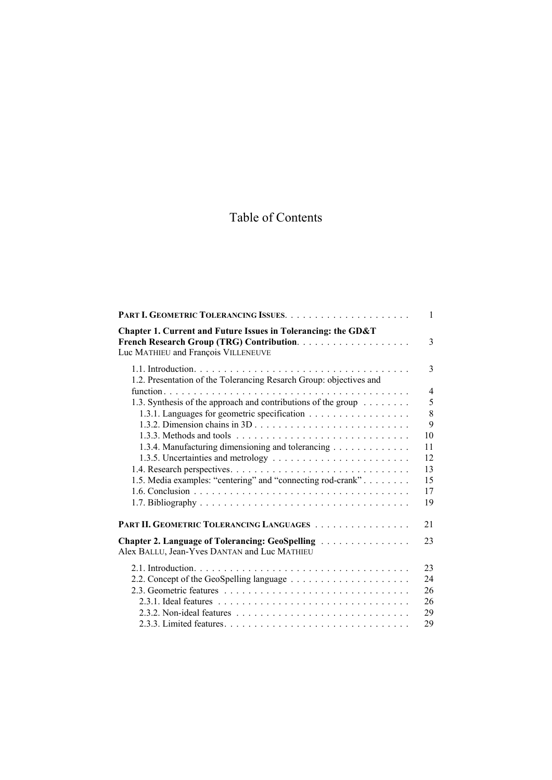## Table of Contents

|                                                                                                      | $\mathbf{1}$ |
|------------------------------------------------------------------------------------------------------|--------------|
| Chapter 1. Current and Future Issues in Tolerancing: the GD&T<br>Luc MATHIEU and François VILLENEUVE | 3            |
| 1.2. Presentation of the Tolerancing Resarch Group: objectives and                                   | 3            |
|                                                                                                      | 4            |
| 1.3. Synthesis of the approach and contributions of the group                                        | 5            |
| 1.3.1. Languages for geometric specification                                                         | 8            |
|                                                                                                      | 9            |
|                                                                                                      | 10           |
| 1.3.4. Manufacturing dimensioning and tolerancing                                                    | 11           |
|                                                                                                      | 12           |
|                                                                                                      | 13           |
| 1.5. Media examples: "centering" and "connecting rod-crank"                                          | 15           |
|                                                                                                      | 17           |
|                                                                                                      | 19           |
| PART II. GEOMETRIC TOLERANCING LANGUAGES                                                             | 21           |
| Chapter 2. Language of Tolerancing: GeoSpelling<br>Alex BALLU, Jean-Yves DANTAN and Luc MATHIEU      | 23           |
|                                                                                                      | 23           |
|                                                                                                      | 24           |
|                                                                                                      | 26           |
|                                                                                                      | 26           |
|                                                                                                      | 29           |
|                                                                                                      | 29           |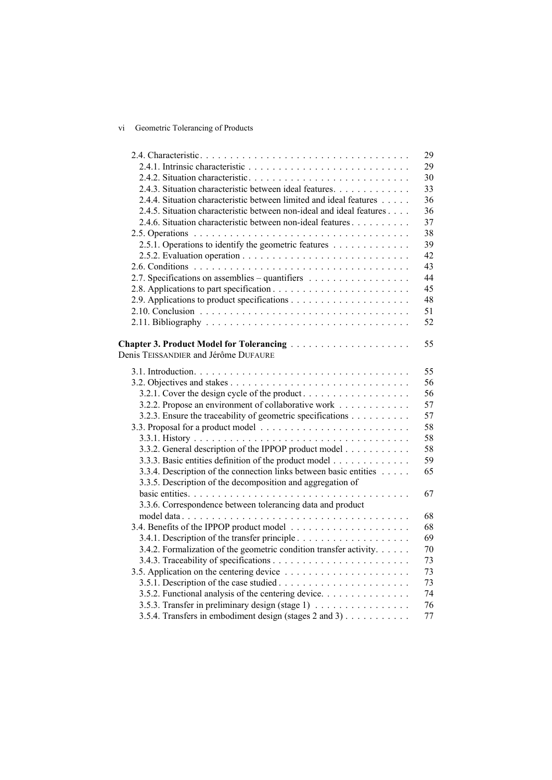## vi Geometric Tolerancing of Products

|                                                                      | 29 |
|----------------------------------------------------------------------|----|
|                                                                      | 29 |
|                                                                      | 30 |
| 2.4.3. Situation characteristic between ideal features.              | 33 |
| 2.4.4. Situation characteristic between limited and ideal features   | 36 |
| 2.4.5. Situation characteristic between non-ideal and ideal features | 36 |
| 2.4.6. Situation characteristic between non-ideal features           | 37 |
|                                                                      | 38 |
| 2.5.1. Operations to identify the geometric features                 | 39 |
|                                                                      | 42 |
|                                                                      | 43 |
| 2.7. Specifications on assemblies – quantifiers                      | 44 |
|                                                                      | 45 |
|                                                                      | 48 |
|                                                                      | 51 |
|                                                                      | 52 |
|                                                                      |    |
| Chapter 3. Product Model for Tolerancing                             | 55 |
| Denis TEISSANDIER and Jérôme DUFAURE                                 |    |
|                                                                      |    |
|                                                                      | 55 |
|                                                                      | 56 |
| 3.2.1. Cover the design cycle of the product                         | 56 |
| 3.2.2. Propose an environment of collaborative work                  | 57 |
| 3.2.3. Ensure the traceability of geometric specifications           | 57 |
|                                                                      | 58 |
|                                                                      | 58 |
| 3.3.2. General description of the IPPOP product model                | 58 |
| 3.3.3. Basic entities definition of the product model                | 59 |
| 3.3.4. Description of the connection links between basic entities    | 65 |
| 3.3.5. Description of the decomposition and aggregation of           |    |
|                                                                      | 67 |
| 3.3.6. Correspondence between tolerancing data and product           |    |
|                                                                      | 68 |
|                                                                      | 68 |
|                                                                      | 69 |
| 3.4.2. Formalization of the geometric condition transfer activity.   | 70 |
|                                                                      | 73 |
|                                                                      | 73 |
|                                                                      | 73 |
| 3.5.2. Functional analysis of the centering device.                  | 74 |
| 3.5.3. Transfer in preliminary design (stage 1)                      | 76 |
| 3.5.4. Transfers in embodiment design (stages 2 and 3)               | 77 |
|                                                                      |    |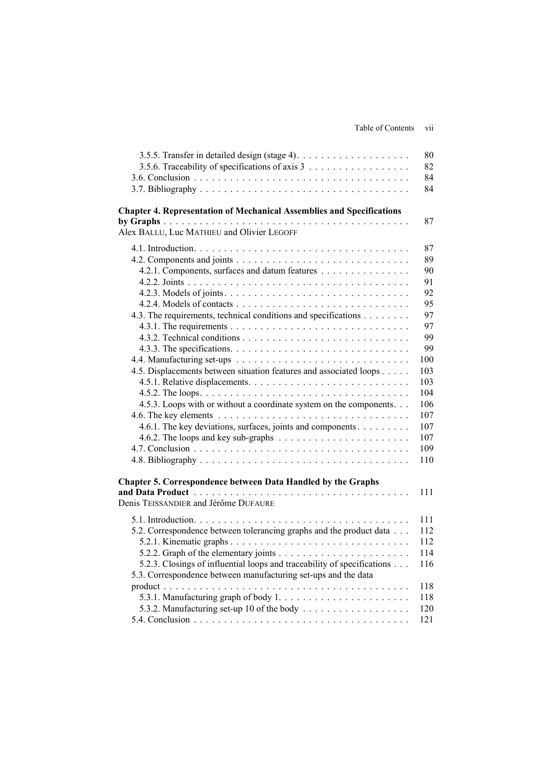| Table of Contents | . .<br>V11 |  |
|-------------------|------------|--|
|                   |            |  |

| 3.5.6. Traceability of specifications of axis 3                                        | 80<br>82 |
|----------------------------------------------------------------------------------------|----------|
|                                                                                        | 84<br>84 |
| <b>Chapter 4. Representation of Mechanical Assemblies and Specifications</b>           |          |
| Alex BALLU, Luc MATHIEU and Olivier LEGOFF                                             | 87       |
|                                                                                        | 87       |
|                                                                                        | 89       |
| 4.2.1. Components, surfaces and datum features                                         | 90       |
|                                                                                        | 91       |
|                                                                                        | 92       |
|                                                                                        | 95       |
| 4.3. The requirements, technical conditions and specifications                         | 97       |
|                                                                                        | 97<br>99 |
|                                                                                        | 99       |
|                                                                                        | 100      |
| 4.5. Displacements between situation features and associated loops                     | 103      |
|                                                                                        | 103      |
|                                                                                        | 104      |
| 4.5.3. Loops with or without a coordinate system on the components.                    | 106      |
|                                                                                        | 107      |
| 4.6.1. The key deviations, surfaces, joints and components                             | 107      |
| 4.6.2. The loops and key sub-graphs $\ldots \ldots \ldots \ldots \ldots \ldots \ldots$ | 107      |
|                                                                                        | 109      |
|                                                                                        | 110      |
| Chapter 5. Correspondence between Data Handled by the Graphs                           |          |
| Denis TEISSANDIER and Jérôme DUFAURE                                                   | 111      |
|                                                                                        | 111      |
| 5.2. Correspondence between tolerancing graphs and the product data                    | 112      |
|                                                                                        | 112      |
|                                                                                        | 114      |
| 5.2.3. Closings of influential loops and traceability of specifications                | 116      |
| 5.3. Correspondence between manufacturing set-ups and the data                         |          |
|                                                                                        | 118      |
|                                                                                        | 118      |
|                                                                                        | 120      |
|                                                                                        | 121      |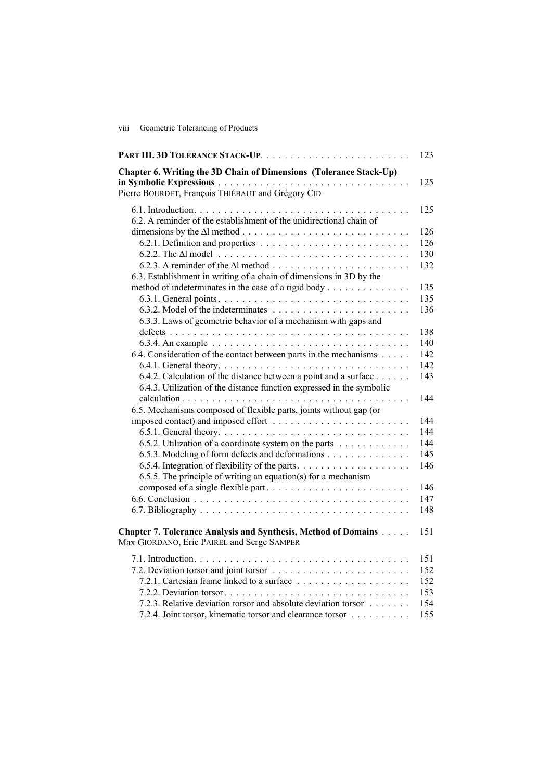viii Geometric Tolerancing of Products

|                                                                                                                                           | 123        |
|-------------------------------------------------------------------------------------------------------------------------------------------|------------|
| Chapter 6. Writing the 3D Chain of Dimensions (Tolerance Stack-Up)                                                                        | 125        |
| Pierre BOURDET, François THIÉBAUT and Grégory CID                                                                                         |            |
| 6.2. A reminder of the establishment of the unidirectional chain of                                                                       | 125        |
|                                                                                                                                           | 126        |
|                                                                                                                                           | 126        |
|                                                                                                                                           | 130        |
|                                                                                                                                           | 132        |
| 6.3. Establishment in writing of a chain of dimensions in 3D by the                                                                       |            |
| method of indeterminates in the case of a rigid body                                                                                      | 135        |
|                                                                                                                                           | 135        |
| 6.3.3. Laws of geometric behavior of a mechanism with gaps and                                                                            | 136        |
|                                                                                                                                           | 138        |
|                                                                                                                                           | 140        |
| 6.4. Consideration of the contact between parts in the mechanisms                                                                         | 142        |
|                                                                                                                                           | 142        |
| 6.4.2. Calculation of the distance between a point and a surface<br>6.4.3. Utilization of the distance function expressed in the symbolic | 143        |
|                                                                                                                                           | 144        |
| 6.5. Mechanisms composed of flexible parts, joints without gap (or                                                                        |            |
|                                                                                                                                           | 144        |
|                                                                                                                                           | 144        |
| 6.5.2. Utilization of a coordinate system on the parts                                                                                    | 144<br>145 |
| 6.5.3. Modeling of form defects and deformations                                                                                          | 146        |
| 6.5.5. The principle of writing an equation(s) for a mechanism                                                                            |            |
|                                                                                                                                           | 146        |
|                                                                                                                                           | 147        |
|                                                                                                                                           | 148        |
| Chapter 7. Tolerance Analysis and Synthesis, Method of Domains<br>Max GIORDANO, Eric PAIREL and Serge SAMPER                              | 151        |
|                                                                                                                                           | 151        |
|                                                                                                                                           | 152        |
|                                                                                                                                           | 152        |
|                                                                                                                                           | 153        |
| 7.2.3. Relative deviation torsor and absolute deviation torsor                                                                            | 154        |
| 7.2.4. Joint torsor, kinematic torsor and clearance torsor                                                                                | 155        |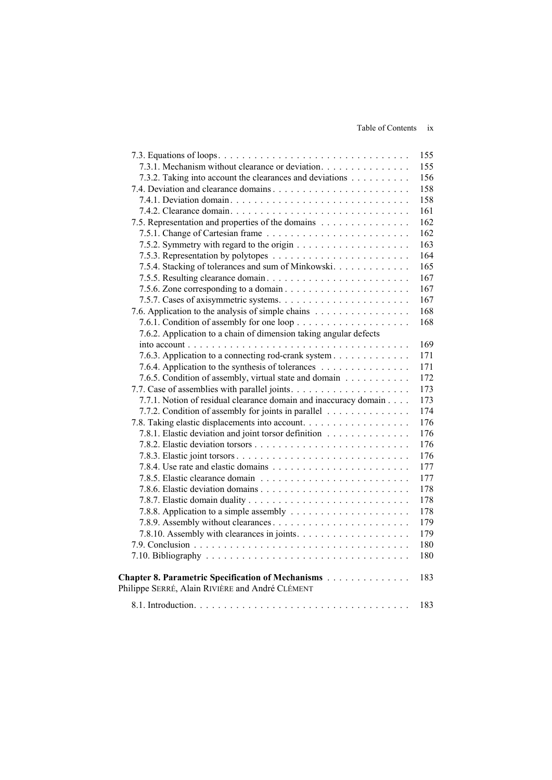Table of Contents ix

|                                                                                                      | 155 |
|------------------------------------------------------------------------------------------------------|-----|
| 7.3.1. Mechanism without clearance or deviation.                                                     | 155 |
| 7.3.2. Taking into account the clearances and deviations                                             | 156 |
|                                                                                                      | 158 |
|                                                                                                      | 158 |
|                                                                                                      | 161 |
| 7.5. Representation and properties of the domains                                                    | 162 |
|                                                                                                      | 162 |
|                                                                                                      | 163 |
|                                                                                                      | 164 |
| 7.5.4. Stacking of tolerances and sum of Minkowski.                                                  | 165 |
|                                                                                                      | 167 |
|                                                                                                      | 167 |
|                                                                                                      | 167 |
| 7.6. Application to the analysis of simple chains                                                    | 168 |
|                                                                                                      | 168 |
| 7.6.2. Application to a chain of dimension taking angular defects                                    |     |
|                                                                                                      | 169 |
| 7.6.3. Application to a connecting rod-crank system                                                  | 171 |
| 7.6.4. Application to the synthesis of tolerances                                                    | 171 |
| 7.6.5. Condition of assembly, virtual state and domain                                               | 172 |
|                                                                                                      | 173 |
| 7.7.1. Notion of residual clearance domain and inaccuracy domain                                     | 173 |
| 7.7.2. Condition of assembly for joints in parallel                                                  | 174 |
|                                                                                                      | 176 |
| 7.8.1. Elastic deviation and joint torsor definition                                                 | 176 |
|                                                                                                      | 176 |
|                                                                                                      | 176 |
|                                                                                                      | 177 |
|                                                                                                      | 177 |
|                                                                                                      | 178 |
|                                                                                                      | 178 |
|                                                                                                      | 178 |
|                                                                                                      | 179 |
|                                                                                                      | 179 |
|                                                                                                      | 180 |
|                                                                                                      | 180 |
|                                                                                                      |     |
| Chapter 8. Parametric Specification of Mechanisms<br>Philippe SERRÉ, Alain RIVIÈRE and André CLÉMENT | 183 |
|                                                                                                      | 183 |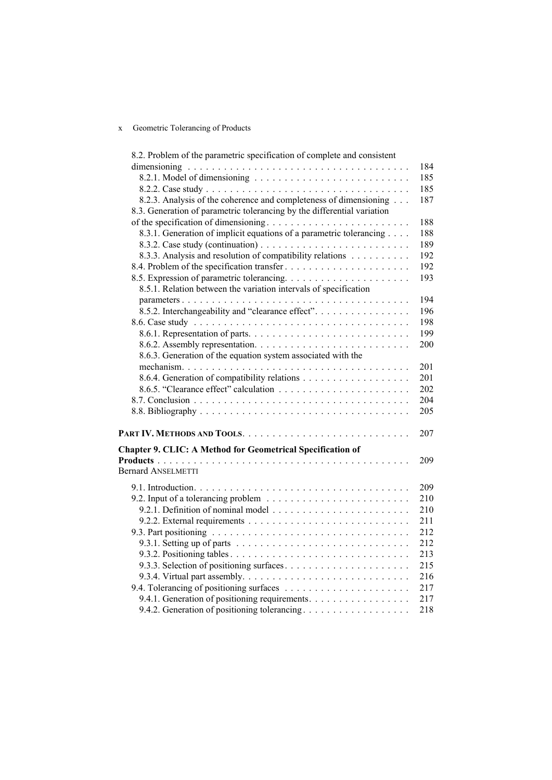## x Geometric Tolerancing of Products

| 8.2. Problem of the parametric specification of complete and consistent |     |
|-------------------------------------------------------------------------|-----|
|                                                                         | 184 |
|                                                                         | 185 |
|                                                                         | 185 |
| 8.2.3. Analysis of the coherence and completeness of dimensioning       | 187 |
| 8.3. Generation of parametric tolerancing by the differential variation |     |
|                                                                         | 188 |
| 8.3.1. Generation of implicit equations of a parametric tolerancing     | 188 |
|                                                                         | 189 |
| 8.3.3. Analysis and resolution of compatibility relations               | 192 |
|                                                                         | 192 |
|                                                                         | 193 |
| 8.5.1. Relation between the variation intervals of specification        |     |
|                                                                         | 194 |
| 8.5.2. Interchangeability and "clearance effect".                       | 196 |
|                                                                         | 198 |
|                                                                         | 199 |
|                                                                         | 200 |
| 8.6.3. Generation of the equation system associated with the            |     |
|                                                                         | 201 |
|                                                                         | 201 |
|                                                                         | 202 |
|                                                                         | 204 |
|                                                                         | 205 |
|                                                                         |     |
|                                                                         | 207 |
| <b>Chapter 9. CLIC: A Method for Geometrical Specification of</b>       |     |
|                                                                         | 209 |
| <b>Bernard ANSELMETTI</b>                                               |     |
|                                                                         |     |
|                                                                         | 209 |
|                                                                         | 210 |
|                                                                         | 210 |
|                                                                         | 211 |
|                                                                         | 212 |
|                                                                         | 212 |
|                                                                         | 213 |
|                                                                         | 215 |
|                                                                         | 216 |
|                                                                         | 217 |
| 9.4.1. Generation of positioning requirements.                          | 217 |
| 9.4.2. Generation of positioning tolerancing.                           | 218 |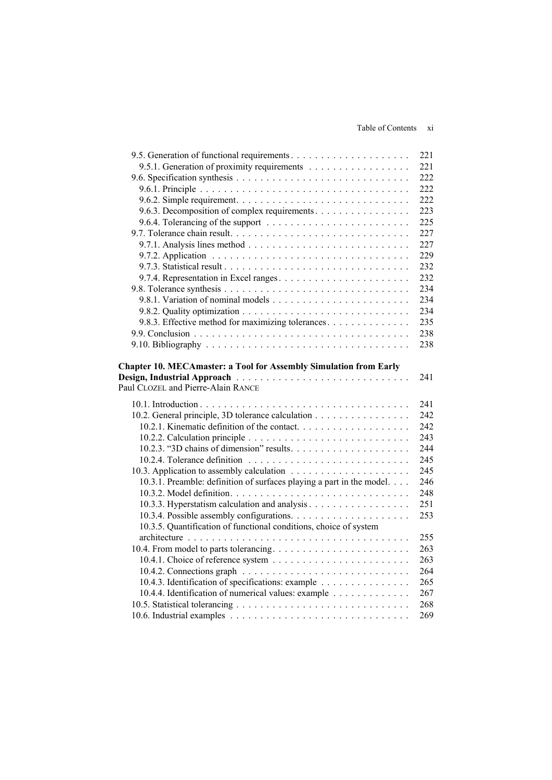|                                                                                        | 221 |
|----------------------------------------------------------------------------------------|-----|
| 9.5.1. Generation of proximity requirements                                            | 221 |
|                                                                                        | 222 |
|                                                                                        | 222 |
|                                                                                        | 222 |
| 9.6.3. Decomposition of complex requirements.                                          | 223 |
| 9.6.4. Tolerancing of the support $\ldots \ldots \ldots \ldots \ldots \ldots \ldots$   | 225 |
|                                                                                        | 227 |
| 9.7.1. Analysis lines method $\ldots \ldots \ldots \ldots \ldots \ldots \ldots \ldots$ | 227 |
|                                                                                        | 229 |
|                                                                                        | 232 |
|                                                                                        | 232 |
|                                                                                        | 234 |
|                                                                                        | 234 |
|                                                                                        | 234 |
| 9.8.3. Effective method for maximizing tolerances.                                     | 235 |
|                                                                                        | 238 |
|                                                                                        | 238 |
|                                                                                        |     |
| <b>Chapter 10. MECAmaster: a Tool for Assembly Simulation from Early</b>               |     |
| Design, Industrial Approach<br>Paul CLOZEL and Pierre-Alain RANCE                      | 241 |
|                                                                                        |     |
|                                                                                        | 241 |
| 10.2. General principle, 3D tolerance calculation                                      | 242 |
|                                                                                        | 242 |
|                                                                                        | 243 |
|                                                                                        | 244 |
|                                                                                        | 245 |
|                                                                                        | 245 |
| 10.3.1. Preamble: definition of surfaces playing a part in the model.                  | 246 |
|                                                                                        | 248 |
| 10.3.3. Hyperstatism calculation and analysis                                          | 251 |
|                                                                                        | 253 |
| 10.3.5. Quantification of functional conditions, choice of system                      |     |
|                                                                                        | 255 |
|                                                                                        | 263 |
|                                                                                        | 263 |
|                                                                                        | 264 |
| 10.4.3. Identification of specifications: example                                      | 265 |
| 10.4.4. Identification of numerical values: example                                    | 267 |
|                                                                                        | 268 |
|                                                                                        | 269 |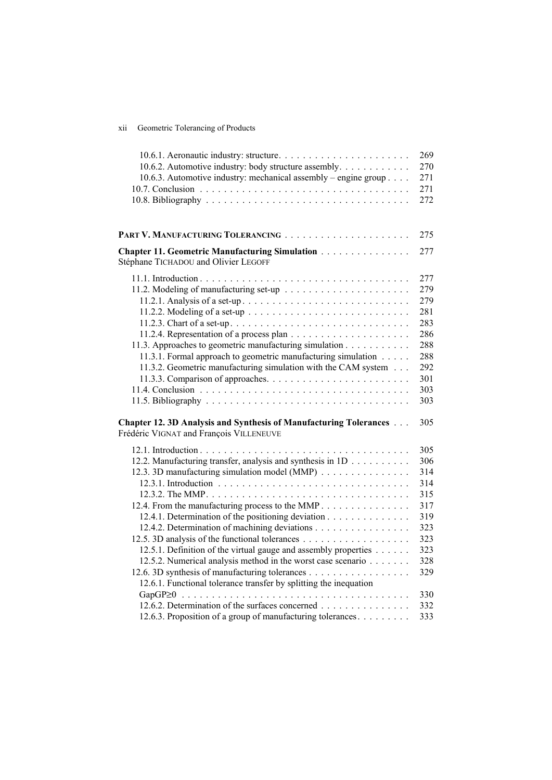| Geometric Tolerancing of Products<br><b>X11</b> |
|-------------------------------------------------|
|-------------------------------------------------|

| 10.6.2. Automotive industry: body structure assembly.<br>10.6.3. Automotive industry: mechanical assembly – engine group                                                                                                                                                                                                                                                                                                                                                                                                        | 269<br>270<br>271<br>271<br>272                                                  |
|---------------------------------------------------------------------------------------------------------------------------------------------------------------------------------------------------------------------------------------------------------------------------------------------------------------------------------------------------------------------------------------------------------------------------------------------------------------------------------------------------------------------------------|----------------------------------------------------------------------------------|
|                                                                                                                                                                                                                                                                                                                                                                                                                                                                                                                                 | 275                                                                              |
| Chapter 11. Geometric Manufacturing Simulation<br>Stéphane TICHADOU and Olivier LEGOFF                                                                                                                                                                                                                                                                                                                                                                                                                                          | 277                                                                              |
| 11.2.2. Modeling of a set-up $\ldots \ldots \ldots \ldots \ldots \ldots \ldots \ldots$<br>11.3. Approaches to geometric manufacturing simulation<br>11.3.1. Formal approach to geometric manufacturing simulation<br>11.3.2. Geometric manufacturing simulation with the CAM system                                                                                                                                                                                                                                             | 277<br>279<br>279<br>281<br>283<br>286<br>288<br>288<br>292<br>301<br>303<br>303 |
| Chapter 12. 3D Analysis and Synthesis of Manufacturing Tolerances<br>Frédéric VIGNAT and François VILLENEUVE                                                                                                                                                                                                                                                                                                                                                                                                                    | 305                                                                              |
| 12.2. Manufacturing transfer, analysis and synthesis in 1D<br>12.3. 3D manufacturing simulation model (MMP)<br>12.4. From the manufacturing process to the MMP<br>12.4.1. Determination of the positioning deviation<br>12.4.2. Determination of machining deviations<br>12.5.1. Definition of the virtual gauge and assembly properties<br>12.5.2. Numerical analysis method in the worst case scenario<br>12.6. 3D synthesis of manufacturing tolerances<br>12.6.1. Functional tolerance transfer by splitting the inequation | 305<br>306<br>314<br>314<br>315<br>317<br>319<br>323<br>323<br>323<br>328<br>329 |
| 12.6.2. Determination of the surfaces concerned<br>12.6.3. Proposition of a group of manufacturing tolerances.                                                                                                                                                                                                                                                                                                                                                                                                                  | 330<br>332<br>333                                                                |